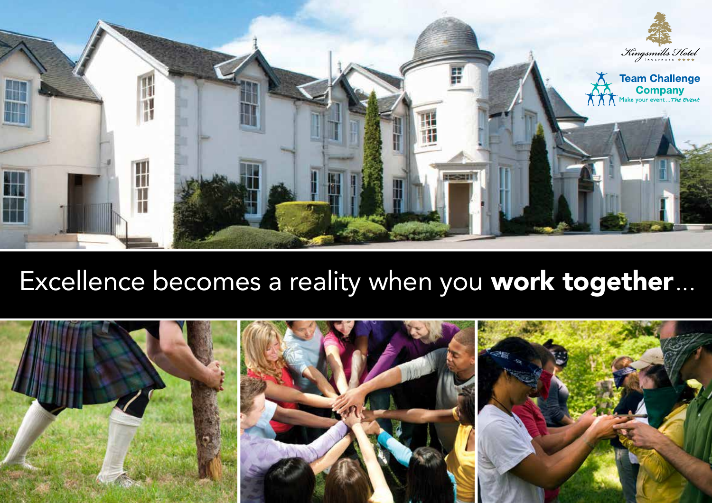

### Excellence becomes a reality when you work together...

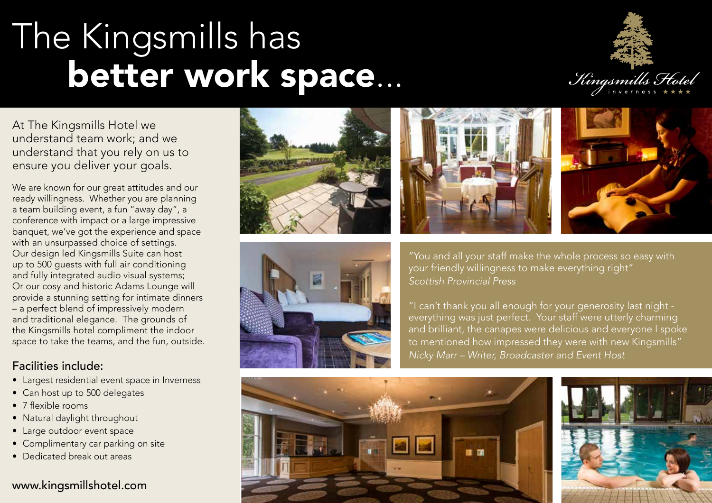## The Kingsmills has better work space...



At The Kingsmills Hotel we understand team work; and we understand that you rely on us to ensure you deliver your goals.

We are known for our great attitudes and our ready willingness. Whether you are planning a team building event, a fun "away day", a conference with impact or a large impressive banquet, we've got the experience and space with an unsurpassed choice of settings. Our design led Kingsmills Suite can host up to 500 guests with full air conditioning and fully integrated audio visual systems; Or our cosy and historic Adams Lounge will provide a stunning setting for intimate dinners – a perfect blend of impressively modern and traditional elegance. The grounds of the Kingsmills hotel compliment the indoor space to take the teams, and the fun, outside.

#### Facilities include:

- Largest residential event space in Inverness
- Can host up to 500 delegates
- 7 flexible rooms
- Natural daylight throughout
- Large outdoor event space
- Complimentary car parking on site
- Dedicated break out areas

### www.kingsmillshotel.com









"You and all your staff make the whole process so easy with your friendly willingness to make everything right" *Scottish Provincial Press*

"I can't thank you all enough for your generosity last night everything was just perfect. Your staff were utterly charming and brilliant, the canapes were delicious and everyone I spoke to mentioned how impressed they were with new Kingsmills" *Nicky Marr – Writer, Broadcaster and Event Host*



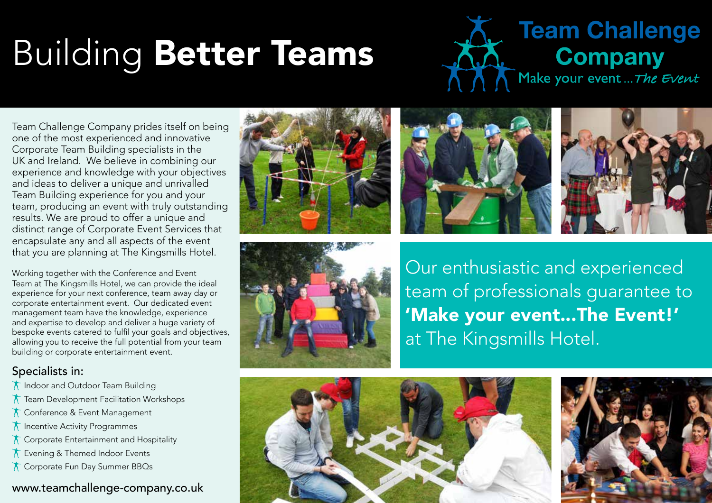# Building Better Teams



Team Challenge Company prides itself on being one of the most experienced and innovative Corporate Team Building specialists in the UK and Ireland. We believe in combining our experience and knowledge with your objectives and ideas to deliver a unique and unrivalled Team Building experience for you and your team, producing an event with truly outstanding results. We are proud to offer a unique and distinct range of Corporate Event Services that encapsulate any and all aspects of the event that you are planning at The Kingsmills Hotel.

Working together with the Conference and Event Team at The Kingsmills Hotel, we can provide the ideal experience for your next conference, team away day or corporate entertainment event. Our dedicated event management team have the knowledge, experience and expertise to develop and deliver a huge variety of bespoke events catered to fulfil your goals and objectives, allowing you to receive the full potential from your team building or corporate entertainment event.

### Specialists in:

- **The Indoor and Outdoor Team Building**
- Team Development Facilitation Workshops
- **T** Conference & Event Management
- **The Incentive Activity Programmes**
- Corporate Entertainment and Hospitality
- **T** Evening & Themed Indoor Events
- **T** Corporate Fun Day Summer BBQs

### www.teamchallenge-company.co.uk









Our enthusiastic and experienced team of professionals guarantee to 'Make your event...The Event!' at The Kingsmills Hotel.